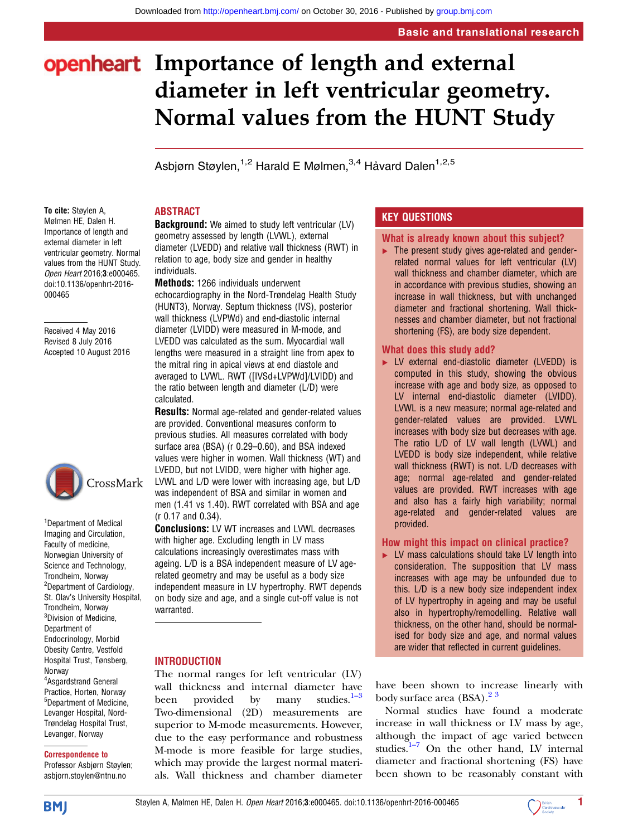# openheart Importance of length and external diameter in left ventricular geometry. Normal values from the HUNT Study

Asbiørn Støylen.<sup>1,2</sup> Harald E Mølmen.<sup>3,4</sup> Håvard Dalen<sup>1,2,5</sup>

#### To cite: Støylen A, Mølmen HE, Dalen H. Importance of length and external diameter in left ventricular geometry. Normal values from the HUNT Study. Open Heart 2016;3:e000465. doi:10.1136/openhrt-2016- 000465

Received 4 May 2016 Revised 8 July 2016 Accepted 10 August 2016



<sup>1</sup>Department of Medical Imaging and Circulation, Faculty of medicine, Norwegian University of Science and Technology, Trondheim, Norway <sup>2</sup>Department of Cardiology, St. Olav's University Hospital, Trondheim, Norway <sup>3</sup>Division of Medicine, Department of Endocrinology, Morbid Obesity Centre, Vestfold Hospital Trust, Tønsberg, Norway 4 Asgardstrand General Practice, Horten, Norway <sup>5</sup>Department of Medicine, Levanger Hospital, Nord-Trøndelag Hospital Trust, Levanger, Norway

#### Correspondence to

Professor Asbjørn Støylen; asbjorn.stoylen@ntnu.no

## ABSTRACT

**Background:** We aimed to study left ventricular (LV) geometry assessed by length (LVWL), external diameter (LVEDD) and relative wall thickness (RWT) in relation to age, body size and gender in healthy individuals.

Methods: 1266 individuals underwent echocardiography in the Nord-Trøndelag Health Study (HUNT3), Norway. Septum thickness (IVS), posterior wall thickness (LVPWd) and end-diastolic internal diameter (LVIDD) were measured in M-mode, and LVEDD was calculated as the sum. Myocardial wall lengths were measured in a straight line from apex to the mitral ring in apical views at end diastole and averaged to LVWL. RWT ([IVSd+LVPWd]/LVIDD) and the ratio between length and diameter (L/D) were calculated.

**Results:** Normal age-related and gender-related values are provided. Conventional measures conform to previous studies. All measures correlated with body surface area (BSA) (r 0.29–0.60), and BSA indexed values were higher in women. Wall thickness (WT) and LVEDD, but not LVIDD, were higher with higher age. LVWL and L/D were lower with increasing age, but L/D was independent of BSA and similar in women and men (1.41 vs 1.40). RWT correlated with BSA and age (r 0.17 and 0.34).

Conclusions: LV WT increases and LVWL decreases with higher age. Excluding length in LV mass calculations increasingly overestimates mass with ageing. L/D is a BSA independent measure of LV agerelated geometry and may be useful as a body size independent measure in LV hypertrophy. RWT depends on body size and age, and a single cut-off value is not warranted.

## **INTRODUCTION**

The normal ranges for left ventricular (LV) wall thickness and internal diameter h[ave](#page-6-0) been provided by many studies. $1-3$ Two-dimensional (2D) measurements are superior to M-mode measurements. However, due to the easy performance and robustness M-mode is more feasible for large studies, which may provide the largest normal materials. Wall thickness and chamber diameter

## KEY QUESTIONS

#### What is already known about this subject?

▸ The present study gives age-related and genderrelated normal values for left ventricular (LV) wall thickness and chamber diameter, which are in accordance with previous studies, showing an increase in wall thickness, but with unchanged diameter and fractional shortening. Wall thicknesses and chamber diameter, but not fractional shortening (FS), are body size dependent.

## What does this study add?

▸ LV external end-diastolic diameter (LVEDD) is computed in this study, showing the obvious increase with age and body size, as opposed to LV internal end-diastolic diameter (LVIDD). LVWL is a new measure; normal age-related and gender-related values are provided. LVWL increases with body size but decreases with age. The ratio L/D of LV wall length (LVWL) and LVEDD is body size independent, while relative wall thickness (RWT) is not. L/D decreases with age; normal age-related and gender-related values are provided. RWT increases with age and also has a fairly high variability; normal age-related and gender-related values are provided.

## How might this impact on clinical practice?

► LV mass calculations should take LV length into consideration. The supposition that LV mass increases with age may be unfounded due to this. L/D is a new body size independent index of LV hypertrophy in ageing and may be useful also in hypertrophy/remodelling. Relative wall thickness, on the other hand, should be normalised for body size and age, and normal values are wider that reflected in current guidelines.

have been shown to increase linearly with body surface area  $(BSA)$ .<sup>23</sup>

Normal studies have found a moderate increase in wall thickness or LV mass by age, althou[gh](#page-6-0) the impact of age varied between studies. $1-7$  On the other hand, LV internal diameter and fractional shortening (FS) have been shown to be reasonably constant with

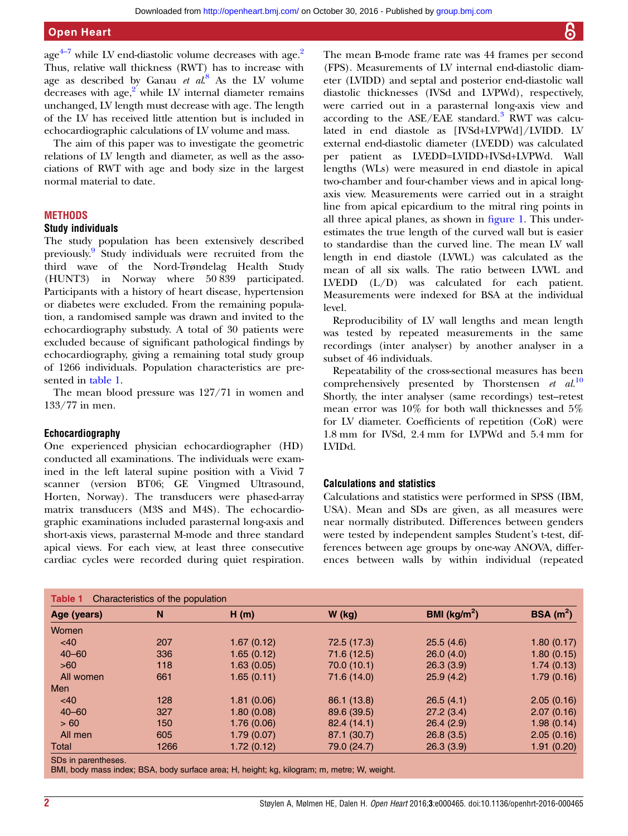<span id="page-1-0"></span> $\sec^{4-7}$  while LV end-diastolic volume decreases with  $\sec^2$  $\sec^2$ Thus, relative wall thickness (RWT) has to increase with age as described by Ganau  $et~al^8$  $et~al^8$  As the LV volume decreases with  $age<sub>1</sub><sup>2</sup>$  while LV internal diameter remains unchanged, LV length must decrease with age. The length of the LV has received little attention but is included in echocardiographic calculations of LV volume and mass.

The aim of this paper was to investigate the geometric relations of LV length and diameter, as well as the associations of RWT with age and body size in the largest normal material to date.

#### **METHODS**

#### Study individuals

The study population has been extensively described previously.[9](#page-6-0) Study individuals were recruited from the third wave of the Nord-Trøndelag Health Study (HUNT3) in Norway where 50 839 participated. Participants with a history of heart disease, hypertension or diabetes were excluded. From the remaining population, a randomised sample was drawn and invited to the echocardiography substudy. A total of 30 patients were excluded because of significant pathological findings by echocardiography, giving a remaining total study group of 1266 individuals. Population characteristics are presented in table 1.

The mean blood pressure was 127/71 in women and 133/77 in men.

#### Echocardiography

One experienced physician echocardiographer (HD) conducted all examinations. The individuals were examined in the left lateral supine position with a Vivid 7 scanner (version BT06; GE Vingmed Ultrasound, Horten, Norway). The transducers were phased-array matrix transducers (M3S and M4S). The echocardiographic examinations included parasternal long-axis and short-axis views, parasternal M-mode and three standard apical views. For each view, at least three consecutive cardiac cycles were recorded during quiet respiration. The mean B-mode frame rate was 44 frames per second (FPS). Measurements of LV internal end-diastolic diameter (LVIDD) and septal and posterior end-diastolic wall diastolic thicknesses (IVSd and LVPWd), respectively, were carried out in a parasternal long-axis view and according to the  $ASE/EAE$  standard.<sup>3</sup> RWT was calculated in end diastole as [IVSd+LVPWd]/LVIDD. LV external end-diastolic diameter (LVEDD) was calculated per patient as LVEDD=LVIDD+IVSd+LVPWd. Wall lengths (WLs) were measured in end diastole in apical two-chamber and four-chamber views and in apical longaxis view. Measurements were carried out in a straight line from apical epicardium to the mitral ring points in all three apical planes, as shown in fi[gure 1.](#page-2-0) This underestimates the true length of the curved wall but is easier to standardise than the curved line. The mean LV wall length in end diastole (LVWL) was calculated as the mean of all six walls. The ratio between LVWL and LVEDD (L/D) was calculated for each patient. Measurements were indexed for BSA at the individual level.

Reproducibility of LV wall lengths and mean length was tested by repeated measurements in the same recordings (inter analyser) by another analyser in a subset of 46 individuals.

Repeatability of the cross-sectional measures has been comprehensively presented by Thorstensen  $et \ al.<sup>10</sup>$  $et \ al.<sup>10</sup>$  $et \ al.<sup>10</sup>$ Shortly, the inter analyser (same recordings) test–retest mean error was 10% for both wall thicknesses and 5% for LV diameter. Coefficients of repetition (CoR) were 1.8 mm for IVSd, 2.4 mm for LVPWd and 5.4 mm for LVIDd.

#### Calculations and statistics

Calculations and statistics were performed in SPSS (IBM, USA). Mean and SDs are given, as all measures were near normally distributed. Differences between genders were tested by independent samples Student's t-test, differences between age groups by one-way ANOVA, differences between walls by within individual (repeated

| Age (years) | N    | H(m)       | $W$ (kg)    | BMI ( $\text{kg/m}^2$ ) | BSA(m <sup>2</sup> ) |
|-------------|------|------------|-------------|-------------------------|----------------------|
| Women       |      |            |             |                         |                      |
| <40         | 207  | 1.67(0.12) | 72.5 (17.3) | 25.5(4.6)               | 1.80(0.17)           |
| $40 - 60$   | 336  | 1.65(0.12) | 71.6 (12.5) | 26.0(4.0)               | 1.80(0.15)           |
| >60         | 118  | 1.63(0.05) | 70.0 (10.1) | 26.3(3.9)               | 1.74(0.13)           |
| All women   | 661  | 1.65(0.11) | 71.6 (14.0) | 25.9(4.2)               | 1.79(0.16)           |
| Men         |      |            |             |                         |                      |
| <40         | 128  | 1.81(0.06) | 86.1 (13.8) | 26.5(4.1)               | 2.05(0.16)           |
| $40 - 60$   | 327  | 1.80(0.08) | 89.6 (39.5) | 27.2(3.4)               | 2.07(0.16)           |
| > 60        | 150  | 1.76(0.06) | 82.4 (14.1) | 26.4(2.9)               | 1.98(0.14)           |
| All men     | 605  | 1.79(0.07) | 87.1 (30.7) | 26.8(3.5)               | 2.05(0.16)           |
| Total       | 1266 | 1.72(0.12) | 79.0 (24.7) | 26.3(3.9)               | 1.91(0.20)           |

SA, body surface area; H, height; kg, kilogram; m, metre; w,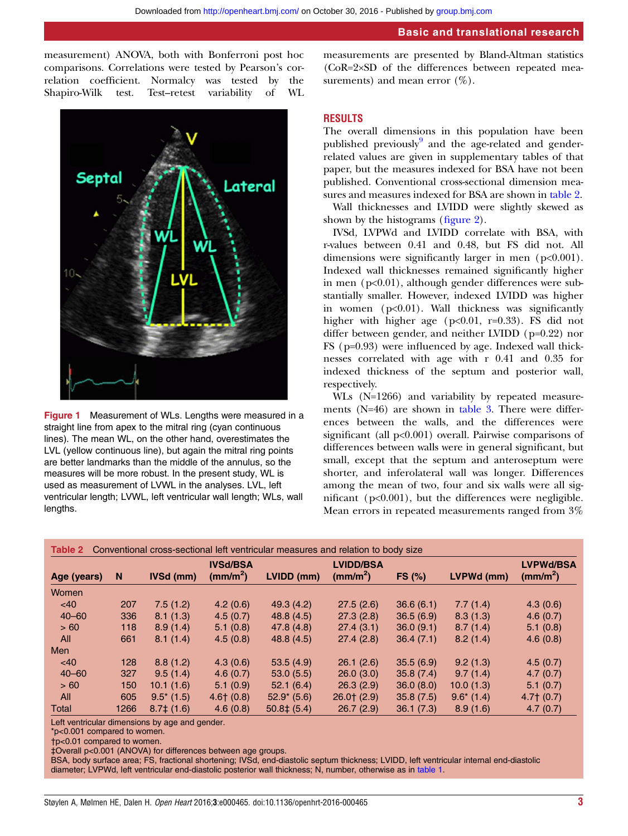<span id="page-2-0"></span>measurement) ANOVA, both with Bonferroni post hoc comparisons. Correlations were tested by Pearson's correlation coefficient. Normalcy was tested by the Shapiro-Wilk test. Test–retest variability of WL



Figure 1 Measurement of WLs. Lengths were measured in a straight line from apex to the mitral ring (cyan continuous lines). The mean WL, on the other hand, overestimates the LVL (yellow continuous line), but again the mitral ring points are better landmarks than the middle of the annulus, so the measures will be more robust. In the present study, WL is used as measurement of LVWL in the analyses. LVL, left ventricular length; LVWL, left ventricular wall length; WLs, wall lengths.

measurements are presented by Bland-Altman statistics (CoR=2×SD of the differences between repeated measurements) and mean error  $(\%).$ 

#### RESULTS

The overall dimensions in this population have been published previously $9$  and the age-related and genderrelated values are given in [supplementary tables](http://dx.doi.org/10.1136/openhrt-2016-000465) of that paper, but the measures indexed for BSA have not been published. Conventional cross-sectional dimension measures and measures indexed for BSA are shown in table 2.

Wall thicknesses and LVIDD were slightly skewed as shown by the histograms (fi[gure 2\)](#page-3-0).

IVSd, LVPWd and LVIDD correlate with BSA, with r-values between 0.41 and 0.48, but FS did not. All dimensions were significantly larger in men (p<0.001). Indexed wall thicknesses remained significantly higher in men (p<0.01), although gender differences were substantially smaller. However, indexed LVIDD was higher in women  $(p<0.01)$ . Wall thickness was significantly higher with higher age (p<0.01, r=0.33). FS did not differ between gender, and neither LVIDD (p=0.22) nor FS (p=0.93) were influenced by age. Indexed wall thicknesses correlated with age with r 0.41 and 0.35 for indexed thickness of the septum and posterior wall, respectively.

WLs (N=1266) and variability by repeated measurements (N=46) are shown in [table 3](#page-3-0). There were differences between the walls, and the differences were significant (all p<0.001) overall. Pairwise comparisons of differences between walls were in general significant, but small, except that the septum and anteroseptum were shorter, and inferolateral wall was longer. Differences among the mean of two, four and six walls were all significant (p<0.001), but the differences were negligible. Mean errors in repeated measurements ranged from 3%

| Conventional cross-sectional left ventricular measures and relation to body size<br>Table 2 |      |                  |                                         |                  |                                       |               |               |                                       |
|---------------------------------------------------------------------------------------------|------|------------------|-----------------------------------------|------------------|---------------------------------------|---------------|---------------|---------------------------------------|
| Age (years)                                                                                 | N    | <b>IVSd (mm)</b> | <b>IVSd/BSA</b><br>(mm/m <sup>2</sup> ) | LVIDD (mm)       | <b>LVIDD/BSA</b><br>$\text{(mm/m}^2)$ | <b>FS (%)</b> | LVPWd (mm)    | <b>LVPWd/BSA</b><br>$\text{(mm/m}^2)$ |
| Women                                                                                       |      |                  |                                         |                  |                                       |               |               |                                       |
| <40                                                                                         | 207  | 7.5(1.2)         | 4.2(0.6)                                | 49.3(4.2)        | 27.5(2.6)                             | 36.6(6.1)     | 7.7(1.4)      | 4.3(0.6)                              |
| $40 - 60$                                                                                   | 336  | 8.1(1.3)         | 4.5(0.7)                                | 48.8 (4.5)       | 27.3(2.8)                             | 36.5(6.9)     | 8.3(1.3)      | 4.6(0.7)                              |
| >60                                                                                         | 118  | 8.9(1.4)         | 5.1(0.8)                                | 47.8(4.8)        | 27.4(3.1)                             | 36.0(9.1)     | 8.7(1.4)      | 5.1(0.8)                              |
| All                                                                                         | 661  | 8.1(1.4)         | 4.5(0.8)                                | 48.8(4.5)        | 27.4(2.8)                             | 36.4(7.1)     | 8.2(1.4)      | 4.6(0.8)                              |
| <b>Men</b>                                                                                  |      |                  |                                         |                  |                                       |               |               |                                       |
| <40                                                                                         | 128  | 8.8(1.2)         | 4.3(0.6)                                | 53.5(4.9)        | 26.1(2.6)                             | 35.5(6.9)     | 9.2(1.3)      | 4.5(0.7)                              |
| $40 - 60$                                                                                   | 327  | 9.5(1.4)         | 4.6(0.7)                                | 53.0(5.5)        | 26.0(3.0)                             | 35.8(7.4)     | 9.7(1.4)      | 4.7(0.7)                              |
| > 60                                                                                        | 150  | 10.1(1.6)        | 5.1(0.9)                                | 52.1(6.4)        | 26.3(2.9)                             | 36.0(8.0)     | 10.0(1.3)     | 5.1(0.7)                              |
| All                                                                                         | 605  | $9.5^*$ (1.5)    | $4.6+$ (0.8)                            | $52.9^*$ (5.6)   | $26.0$ † $(2.9)$                      | 35.8(7.5)     | $9.6^*$ (1.4) | $4.7+$ (0.7)                          |
| Total                                                                                       | 1266 | $8.7\pm(1.6)$    | 4.6(0.8)                                | $50.8 \pm (5.4)$ | 26.7(2.9)                             | 36.1(7.3)     | 8.9(1.6)      | 4.7(0.7)                              |

Left ventricular dimensions by age and gender.

\*p<0.001 compared to women.

†p<0.01 compared to women.

‡Overall p<0.001 (ANOVA) for differences between age groups.

BSA, body surface area; FS, fractional shortening; IVSd, end-diastolic septum thickness; LVIDD, left ventricular internal end-diastolic diameter; LVPWd, left ventricular end-diastolic posterior wall thickness; N, number, otherwise as in [table 1.](#page-1-0)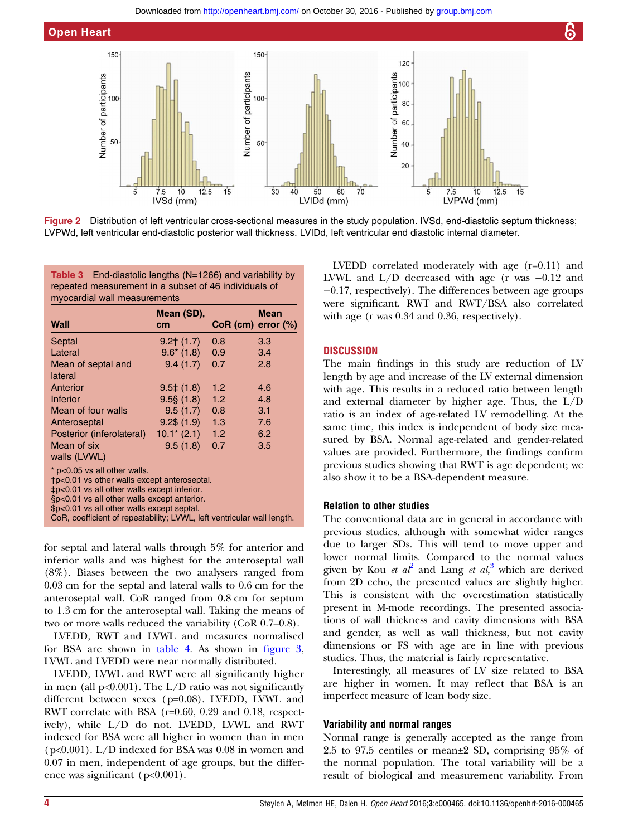<span id="page-3-0"></span>

Figure 2 Distribution of left ventricular cross-sectional measures in the study population. IVSd, end-diastolic septum thickness; LVPWd, left ventricular end-diastolic posterior wall thickness. LVIDd, left ventricular end diastolic internal diameter.

Table 3 End-diastolic lengths (N=1266) and variability by repeated measurement in a subset of 46 individuals of myocardial wall measurements

| Wall                                                                                                                                                                                                                    | Mean (SD),<br>cm       | $CoR$ (cm) error $(\%)$ | <b>Mean</b> |  |
|-------------------------------------------------------------------------------------------------------------------------------------------------------------------------------------------------------------------------|------------------------|-------------------------|-------------|--|
| Septal                                                                                                                                                                                                                  | $9.2+$ (1.7)           | 0.8                     | 3.3         |  |
| Lateral                                                                                                                                                                                                                 | $9.6*(1.8)$            | 0.9                     | 3.4         |  |
| Mean of septal and<br>lateral                                                                                                                                                                                           | 9.4(1.7)               | 0.7                     | 2.8         |  |
| Anterior                                                                                                                                                                                                                | $9.5 \pm (1.8)$        | 1.2                     | 4.6         |  |
| <b>Inferior</b>                                                                                                                                                                                                         | $9.5\frac{5}{9}$ (1.8) | 1.2                     | 4.8         |  |
| Mean of four walls                                                                                                                                                                                                      | 9.5(1.7)               | 0.8                     | 3.1         |  |
| Anteroseptal                                                                                                                                                                                                            | $9.2\$ $(1.9)$         | 1.3                     | 7.6         |  |
| Posterior (inferolateral)                                                                                                                                                                                               | $10.1*$ (2.1)          | 1.2                     | 6.2         |  |
| Mean of six<br>walls (LVWL)                                                                                                                                                                                             | 9.5(1.8)               | 0.7                     | 3.5         |  |
| * p<0.05 vs all other walls.<br>tp<0.01 vs other walls except anteroseptal.<br>‡p<0.01 vs all other walls except inferior.<br>§p<0.01 vs all other walls except anterior.<br>\$p<0.01 vs all other walls except septal. |                        |                         |             |  |

CoR, coefficient of repeatability; LVWL, left ventricular wall length.

for septal and lateral walls through 5% for anterior and inferior walls and was highest for the anteroseptal wall (8%). Biases between the two analysers ranged from 0.03 cm for the septal and lateral walls to 0.6 cm for the anteroseptal wall. CoR ranged from 0.8 cm for septum to 1.3 cm for the anteroseptal wall. Taking the means of two or more walls reduced the variability (CoR 0.7–0.8).

LVEDD, RWT and LVWL and measures normalised for BSA are shown in [table 4](#page-4-0). As shown in fi[gure 3,](#page-4-0) LVWL and LVEDD were near normally distributed.

LVEDD, LVWL and RWT were all significantly higher in men (all  $p<0.001$ ). The L/D ratio was not significantly different between sexes (p=0.08). LVEDD, LVWL and RWT correlate with BSA (r=0.60, 0.29 and 0.18, respectively), while L/D do not. LVEDD, LVWL and RWT indexed for BSA were all higher in women than in men (p<0.001). L/D indexed for BSA was 0.08 in women and 0.07 in men, independent of age groups, but the difference was significant (p<0.001).

LVEDD correlated moderately with age (r=0.11) and LVWL and L/D decreased with age (r was −0.12 and −0.17, respectively). The differences between age groups were significant. RWT and RWT/BSA also correlated with age (r was 0.34 and 0.36, respectively).

## **DISCUSSION**

The main findings in this study are reduction of LV length by age and increase of the LV external dimension with age. This results in a reduced ratio between length and external diameter by higher age. Thus, the L/D ratio is an index of age-related LV remodelling. At the same time, this index is independent of body size measured by BSA. Normal age-related and gender-related values are provided. Furthermore, the findings confirm previous studies showing that RWT is age dependent; we also show it to be a BSA-dependent measure.

## Relation to other studies

The conventional data are in general in accordance with previous studies, although with somewhat wider ranges due to larger SDs. This will tend to move upper and lower normal limits. Compared to the normal values given by Kou et  $a\ell^2$  $a\ell^2$  and Lang et  $a\ell$ ,<sup>[3](#page-6-0)</sup> which are derived from 2D echo, the presented values are slightly higher. This is consistent with the overestimation statistically present in M-mode recordings. The presented associations of wall thickness and cavity dimensions with BSA and gender, as well as wall thickness, but not cavity dimensions or FS with age are in line with previous studies. Thus, the material is fairly representative.

Interestingly, all measures of LV size related to BSA are higher in women. It may reflect that BSA is an imperfect measure of lean body size.

## Variability and normal ranges

Normal range is generally accepted as the range from 2.5 to 97.5 centiles or mean±2 SD, comprising 95% of the normal population. The total variability will be a result of biological and measurement variability. From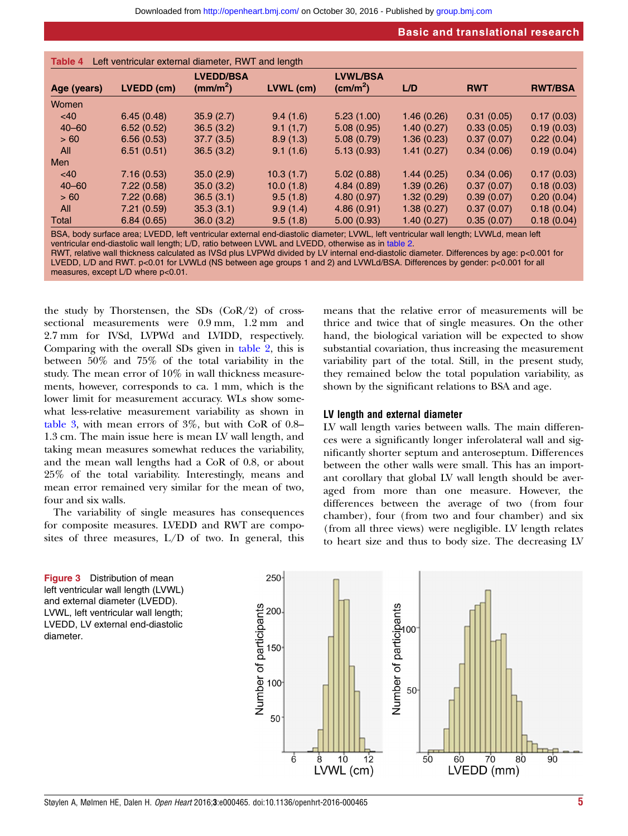<span id="page-4-0"></span>

|             |            | <b>LVEDD/BSA</b>     |           | <b>LVWL/BSA</b>   |            |            |                |
|-------------|------------|----------------------|-----------|-------------------|------------|------------|----------------|
| Age (years) | LVEDD (cm) | (mm/m <sup>2</sup> ) | LVWL (cm) | $\text{(cm/m}^2)$ | L/D        | <b>RWT</b> | <b>RWT/BSA</b> |
| Women       |            |                      |           |                   |            |            |                |
| <40         | 6.45(0.48) | 35.9(2.7)            | 9.4(1.6)  | 5.23(1.00)        | 1.46(0.26) | 0.31(0.05) | 0.17(0.03)     |
| $40 - 60$   | 6.52(0.52) | 36.5(3.2)            | 9.1(1,7)  | 5.08(0.95)        | 1.40(0.27) | 0.33(0.05) | 0.19(0.03)     |
| > 60        | 6.56(0.53) | 37.7(3.5)            | 8.9(1.3)  | 5.08(0.79)        | 1.36(0.23) | 0.37(0.07) | 0.22(0.04)     |
| All         | 6.51(0.51) | 36.5(3.2)            | 9.1(1.6)  | 5.13(0.93)        | 1.41(0.27) | 0.34(0.06) | 0.19(0.04)     |
| <b>Men</b>  |            |                      |           |                   |            |            |                |
| <40         | 7.16(0.53) | 35.0(2.9)            | 10.3(1.7) | 5.02(0.88)        | 1.44(0.25) | 0.34(0.06) | 0.17(0.03)     |
| $40 - 60$   | 7.22(0.58) | 35.0(3.2)            | 10.0(1.8) | 4.84(0.89)        | 1.39(0.26) | 0.37(0.07) | 0.18(0.03)     |
| > 60        | 7.22(0.68) | 36.5(3.1)            | 9.5(1.8)  | 4.80(0.97)        | 1.32(0.29) | 0.39(0.07) | 0.20(0.04)     |
| All         | 7.21(0.59) | 35.3(3.1)            | 9.9(1.4)  | 4.86(0.91)        | 1.38(0.27) | 0.37(0.07) | 0.18(0.04)     |
| Total       | 6.84(0.65) | 36.0(3.2)            | 9.5(1.8)  | 5.00(0.93)        | 1.40(0.27) | 0.35(0.07) | 0.18(0.04)     |

BSA, body surface area; LVEDD, left ventricular external end-diastolic diameter; LVWL, left ventricular wall length; LVWLd, mean left ventricular end-diastolic wall length; L/D, ratio between LVWL and LVEDD, otherwise as in [table 2](#page-2-0).

RWT, relative wall thickness calculated as IVSd plus LVPWd divided by LV internal end-diastolic diameter. Differences by age: p<0.001 for LVEDD, L/D and RWT. p<0.01 for LVWLd (NS between age groups 1 and 2) and LVWLd/BSA. Differences by gender: p<0.001 for all measures, except L/D where p<0.01.

the study by Thorstensen, the SDs  $(CoR/2)$  of crosssectional measurements were 0.9 mm, 1.2 mm and 2.7 mm for IVSd, LVPWd and LVIDD, respectively. Comparing with the overall SDs given in [table 2](#page-2-0), this is between 50% and 75% of the total variability in the study. The mean error of 10% in wall thickness measurements, however, corresponds to ca. 1 mm, which is the lower limit for measurement accuracy. WLs show somewhat less-relative measurement variability as shown in [table 3](#page-3-0), with mean errors of 3%, but with CoR of 0.8– 1.3 cm. The main issue here is mean LV wall length, and taking mean measures somewhat reduces the variability, and the mean wall lengths had a CoR of 0.8, or about 25% of the total variability. Interestingly, means and mean error remained very similar for the mean of two, four and six walls.

The variability of single measures has consequences for composite measures. LVEDD and RWT are composites of three measures, L/D of two. In general, this

means that the relative error of measurements will be thrice and twice that of single measures. On the other hand, the biological variation will be expected to show substantial covariation, thus increasing the measurement variability part of the total. Still, in the present study, they remained below the total population variability, as shown by the significant relations to BSA and age.

#### LV length and external diameter

LV wall length varies between walls. The main differences were a significantly longer inferolateral wall and significantly shorter septum and anteroseptum. Differences between the other walls were small. This has an important corollary that global LV wall length should be averaged from more than one measure. However, the differences between the average of two (from four chamber), four (from two and four chamber) and six ( from all three views) were negligible. LV length relates to heart size and thus to body size. The decreasing LV

**Figure 3** Distribution of mean left ventricular wall length (LVWL) and external diameter (LVEDD). LVWL, left ventricular wall length; LVEDD, LV external end-diastolic diameter.

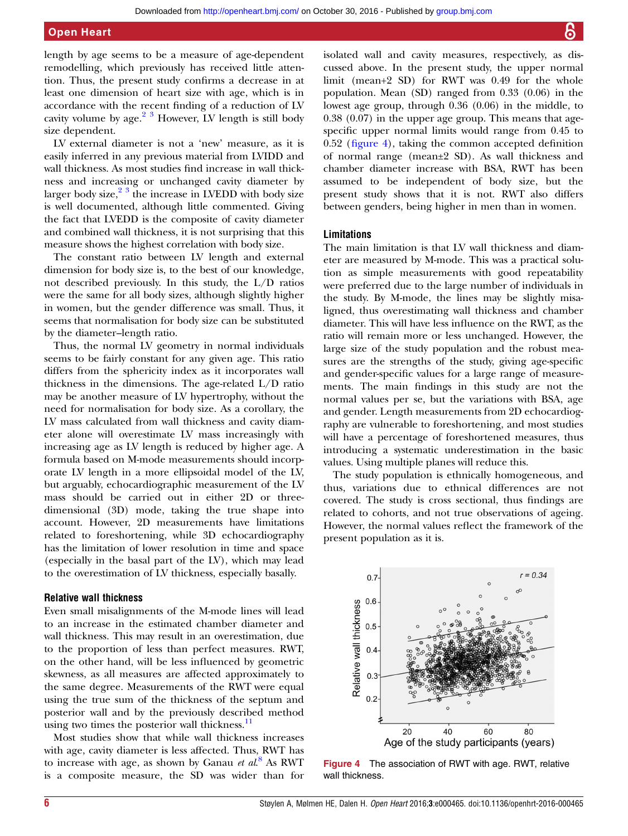length by age seems to be a measure of age-dependent remodelling, which previously has received little attention. Thus, the present study confirms a decrease in at least one dimension of heart size with age, which is in accordance with the recent finding of a reduction of LV cavity volume by  $age.^{2}$  <sup>3</sup> However, LV length is still body size dependent.

LV external diameter is not a 'new' measure, as it is easily inferred in any previous material from LVIDD and wall thickness. As most studies find increase in wall thickness and increasing or unchanged cavity diameter by larger body size, $2^3$  the increase in LVEDD with body size is well documented, although little commented. Giving the fact that LVEDD is the composite of cavity diameter and combined wall thickness, it is not surprising that this measure shows the highest correlation with body size.

The constant ratio between LV length and external dimension for body size is, to the best of our knowledge, not described previously. In this study, the L/D ratios were the same for all body sizes, although slightly higher in women, but the gender difference was small. Thus, it seems that normalisation for body size can be substituted by the diameter–length ratio.

Thus, the normal LV geometry in normal individuals seems to be fairly constant for any given age. This ratio differs from the sphericity index as it incorporates wall thickness in the dimensions. The age-related L/D ratio may be another measure of LV hypertrophy, without the need for normalisation for body size. As a corollary, the LV mass calculated from wall thickness and cavity diameter alone will overestimate LV mass increasingly with increasing age as LV length is reduced by higher age. A formula based on M-mode measurements should incorporate LV length in a more ellipsoidal model of the LV, but arguably, echocardiographic measurement of the LV mass should be carried out in either 2D or threedimensional (3D) mode, taking the true shape into account. However, 2D measurements have limitations related to foreshortening, while 3D echocardiography has the limitation of lower resolution in time and space (especially in the basal part of the LV), which may lead to the overestimation of LV thickness, especially basally.

## Relative wall thickness

Even small misalignments of the M-mode lines will lead to an increase in the estimated chamber diameter and wall thickness. This may result in an overestimation, due to the proportion of less than perfect measures. RWT, on the other hand, will be less influenced by geometric skewness, as all measures are affected approximately to the same degree. Measurements of the RWT were equal using the true sum of the thickness of the septum and posterior wall and by the previously described method using two times the posterior wall thickness.<sup>[11](#page-6-0)</sup>

Most studies show that while wall thickness increases with age, cavity diameter is less affected. Thus, RWT has to increase with age, as shown by Ganau et  $al^8$  $al^8$  As RWT is a composite measure, the SD was wider than for

isolated wall and cavity measures, respectively, as discussed above. In the present study, the upper normal limit (mean+2 SD) for RWT was 0.49 for the whole population. Mean (SD) ranged from 0.33 (0.06) in the lowest age group, through 0.36 (0.06) in the middle, to 0.38 (0.07) in the upper age group. This means that agespecific upper normal limits would range from 0.45 to 0.52 (figure 4), taking the common accepted definition of normal range (mean±2 SD). As wall thickness and chamber diameter increase with BSA, RWT has been assumed to be independent of body size, but the present study shows that it is not. RWT also differs between genders, being higher in men than in women.

## Limitations

The main limitation is that LV wall thickness and diameter are measured by M-mode. This was a practical solution as simple measurements with good repeatability were preferred due to the large number of individuals in the study. By M-mode, the lines may be slightly misaligned, thus overestimating wall thickness and chamber diameter. This will have less influence on the RWT, as the ratio will remain more or less unchanged. However, the large size of the study population and the robust measures are the strengths of the study, giving age-specific and gender-specific values for a large range of measurements. The main findings in this study are not the normal values per se, but the variations with BSA, age and gender. Length measurements from 2D echocardiography are vulnerable to foreshortening, and most studies will have a percentage of foreshortened measures, thus introducing a systematic underestimation in the basic values. Using multiple planes will reduce this.

The study population is ethnically homogeneous, and thus, variations due to ethnical differences are not covered. The study is cross sectional, thus findings are related to cohorts, and not true observations of ageing. However, the normal values reflect the framework of the present population as it is.



Figure 4 The association of RWT with age. RWT, relative wall thickness.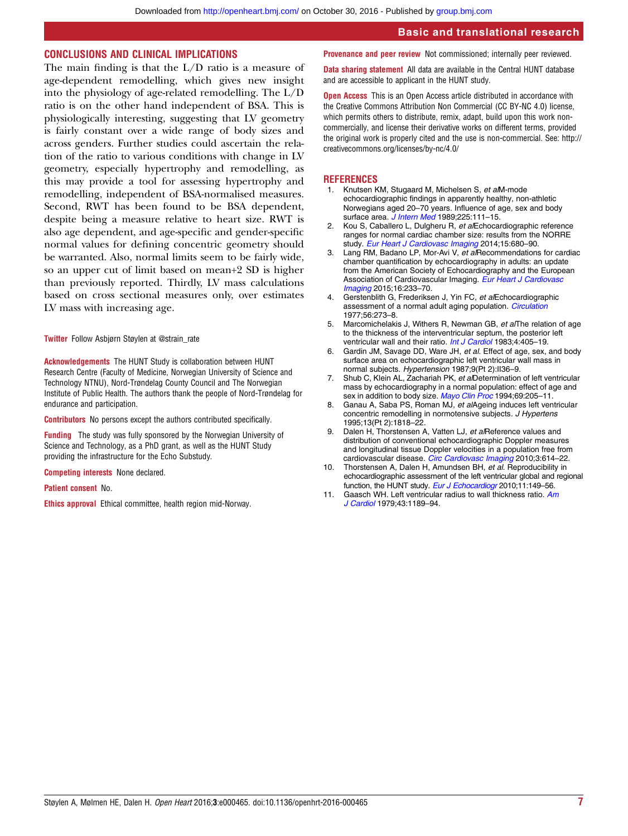#### <span id="page-6-0"></span>CONCLUSIONS AND CLINICAL IMPLICATIONS

The main finding is that the L/D ratio is a measure of age-dependent remodelling, which gives new insight into the physiology of age-related remodelling. The L/D ratio is on the other hand independent of BSA. This is physiologically interesting, suggesting that LV geometry is fairly constant over a wide range of body sizes and across genders. Further studies could ascertain the relation of the ratio to various conditions with change in LV geometry, especially hypertrophy and remodelling, as this may provide a tool for assessing hypertrophy and remodelling, independent of BSA-normalised measures. Second, RWT has been found to be BSA dependent, despite being a measure relative to heart size. RWT is also age dependent, and age-specific and gender-specific normal values for defining concentric geometry should be warranted. Also, normal limits seem to be fairly wide, so an upper cut of limit based on mean+2 SD is higher than previously reported. Thirdly, LV mass calculations based on cross sectional measures only, over estimates LV mass with increasing age.

Twitter Follow Asbjørn Støylen at [@strain\\_rate](http://twitter.com/strain_rate)

Acknowledgements The HUNT Study is collaboration between HUNT Research Centre (Faculty of Medicine, Norwegian University of Science and Technology NTNU), Nord-Trøndelag County Council and The Norwegian Institute of Public Health. The authors thank the people of Nord-Trøndelag for endurance and participation.

Contributors No persons except the authors contributed specifically.

Funding The study was fully sponsored by the Norwegian University of Science and Technology, as a PhD grant, as well as the HUNT Study providing the infrastructure for the Echo Substudy.

Competing interests None declared.

Patient consent No.

Ethics approval Ethical committee, health region mid-Norway.

Provenance and peer review Not commissioned; internally peer reviewed.

Data sharing statement All data are available in the Central HUNT database and are accessible to applicant in the HUNT study.

**Open Access** This is an Open Access article distributed in accordance with the Creative Commons Attribution Non Commercial (CC BY-NC 4.0) license, which permits others to distribute, remix, adapt, build upon this work noncommercially, and license their derivative works on different terms, provided the original work is properly cited and the use is non-commercial. See: [http://](http://creativecommons.org/licenses/by-nc/4.0/) [creativecommons.org/licenses/by-nc/4.0/](http://creativecommons.org/licenses/by-nc/4.0/)

#### **REFERENCES**

- 1. Knutsen KM, Stugaard M, Michelsen S, et alM-mode echocardiographic findings in apparently healthy, non-athletic Norwegians aged 20–70 years. Influence of age, sex and body surface area. *[J Intern Med](http://dx.doi.org/10.1111/j.1365-2796.1989.tb00049.x)* 1989;225:111-15.
- 2. Kou S, Caballero L, Dulgheru R, et alEchocardiographic reference ranges for normal cardiac chamber size: results from the NORRE study. [Eur Heart J Cardiovasc Imaging](http://dx.doi.org/10.1093/ehjci/jet284) 2014;15:680-90.
- 3. Lang RM, Badano LP, Mor-Avi V, et alRecommendations for cardiac chamber quantification by echocardiography in adults: an update from the American Society of Echocardiography and the European Association of Cardiovascular Imaging. [Eur Heart J Cardiovasc](http://dx.doi.org/10.1093/ehjci/jev014) [Imaging](http://dx.doi.org/10.1093/ehjci/jev014) 2015;16:233–70.
- 4. Gerstenblith G, Frederiksen J, Yin FC, et alEchocardiographic assessment of a normal adult aging population. [Circulation](http://dx.doi.org/10.1161/01.CIR.56.2.273) 1977;56:273–8.
- 5. Marcomichelakis J, Withers R, Newman GB, et alThe relation of age to the thickness of the interventricular septum, the posterior left ventricular wall and their ratio. [Int J Cardiol](http://dx.doi.org/10.1016/0167-5273(83)90190-0) 1983;4:405-19.
- 6. Gardin JM, Savage DD, Ware JH, et al. Effect of age, sex, and body surface area on echocardiographic left ventricular wall mass in normal subjects. Hypertension 1987;9(Pt 2):II36-9.
- 7. Shub C, Klein AL, Zachariah PK, et alDetermination of left ventricular mass by echocardiography in a normal population: effect of age and sex in addition to body size. [Mayo Clin Proc](http://dx.doi.org/10.1016/S0025-6196(12)61058-1) 1994;69:205-11.
- 8. Ganau A, Saba PS, Roman MJ, et alAgeing induces left ventricular concentric remodelling in normotensive subjects. J Hypertens 1995;13(Pt 2):1818–22.
- 9. Dalen H, Thorstensen A, Vatten LJ, et alReference values and distribution of conventional echocardiographic Doppler measures and longitudinal tissue Doppler velocities in a population free from cardiovascular disease. [Circ Cardiovasc Imaging](http://dx.doi.org/10.1161/CIRCIMAGING.109.926022) 2010;3:614-22.
- 10. Thorstensen A, Dalen H, Amundsen BH, et al. Reproducibility in echocardiographic assessment of the left ventricular global and regional function, the HUNT study. [Eur J Echocardiogr](http://dx.doi.org/10.1093/ejechocard/jep188) 2010;11:149-56.
- 11. Gaasch WH. Left ventricular radius to wall thickness ratio. [Am](http://dx.doi.org/10.1016/0002-9149(79)90152-8) [J Cardiol](http://dx.doi.org/10.1016/0002-9149(79)90152-8) 1979;43:1189–94.